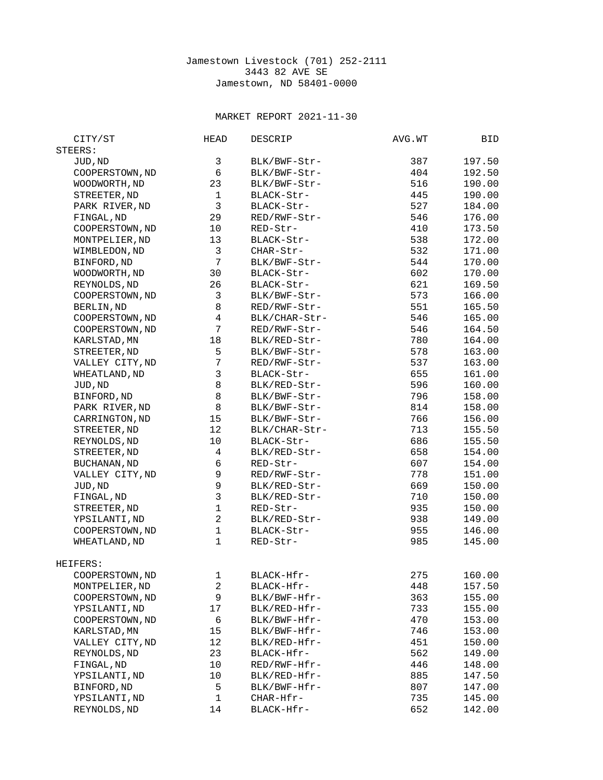## Jamestown Livestock (701) 252-2111 3443 82 AVE SE Jamestown, ND 58401-0000

## MARKET REPORT 2021-11-30

| CITY/ST             | <b>HEAD</b>               | DESCRIP       | AVG.WT | BID              |
|---------------------|---------------------------|---------------|--------|------------------|
| STEERS:             |                           |               |        |                  |
| JUD, ND             | 3                         | BLK/BWF-Str-  | 387    | 197.50           |
| COOPERSTOWN, ND     | 6                         | BLK/BWF-Str-  | 404    | 192.50           |
| WOODWORTH, ND       | 23                        | BLK/BWF-Str-  | 516    | 190.00           |
| STREETER, ND        | $\mathbf{1}$              | BLACK-Str-    | 445    | 190.00           |
| PARK RIVER, ND      | 3                         | BLACK-Str-    | 527    | 184.00           |
| FINGAL, ND          | 29                        | RED/RWF-Str-  | 546    | 176.00           |
| COOPERSTOWN, ND     | 10                        | RED-Str-      | 410    | 173.50           |
| MONTPELIER, ND      |                           | BLACK-Str-    | 538    |                  |
|                     | 13<br>3                   | CHAR-Str-     | 532    | 172.00<br>171.00 |
| WIMBLEDON, ND       | $\overline{7}$            |               |        |                  |
| BINFORD, ND         |                           | BLK/BWF-Str-  | 544    | 170.00           |
| WOODWORTH, ND       | 30                        | BLACK-Str-    | 602    | 170.00           |
| REYNOLDS, ND        | 26                        | BLACK-Str-    | 621    | 169.50           |
| COOPERSTOWN, ND     | 3                         | BLK/BWF-Str-  | 573    | 166.00           |
| BERLIN, ND          | 8                         | RED/RWF-Str-  | 551    | 165.50           |
| COOPERSTOWN, ND     | $\overline{\mathcal{A}}$  | BLK/CHAR-Str- | 546    | 165.00           |
| COOPERSTOWN, ND     | $\overline{7}$            | RED/RWF-Str-  | 546    | 164.50           |
| KARLSTAD, MN        | 18                        | BLK/RED-Str-  | 780    | 164.00           |
| STREETER, ND        | 5                         | BLK/BWF-Str-  | 578    | 163.00           |
| VALLEY CITY, ND     | $\overline{7}$            | RED/RWF-Str-  | 537    | 163.00           |
| WHEATLAND, ND       | 3                         | BLACK-Str-    | 655    | 161.00           |
| JUD, ND             | 8                         | BLK/RED-Str-  | 596    | 160.00           |
| BINFORD, ND         | 8                         | BLK/BWF-Str-  | 796    | 158.00           |
| PARK RIVER, ND      | 8                         | BLK/BWF-Str-  | 814    | 158.00           |
| CARRINGTON, ND      | 15                        | BLK/BWF-Str-  | 766    | 156.00           |
| STREETER, ND        | 12                        | BLK/CHAR-Str- | 713    | 155.50           |
| REYNOLDS, ND        | 10                        | BLACK-Str-    | 686    | 155.50           |
| STREETER, ND        | $\overline{\mathcal{L}}$  | BLK/RED-Str-  | 658    | 154.00           |
| <b>BUCHANAN, ND</b> | 6                         | RED-Str-      | 607    | 154.00           |
| VALLEY CITY, ND     | 9                         | RED/RWF-Str-  | 778    | 151.00           |
| JUD, ND             | $\mathsf g$               | BLK/RED-Str-  | 669    | 150.00           |
| FINGAL, ND          | $\ensuremath{\mathsf{3}}$ | BLK/RED-Str-  | 710    | 150.00           |
| STREETER, ND        | $\mathbf{1}$              | RED-Str-      | 935    | 150.00           |
|                     | $\overline{c}$            |               | 938    | 149.00           |
| YPSILANTI, ND       | $\mathbf{1}$              | BLK/RED-Str-  |        |                  |
| COOPERSTOWN, ND     | $\mathbf{1}$              | BLACK-Str-    | 955    | 146.00           |
| WHEATLAND, ND       |                           | RED-Str-      | 985    | 145.00           |
| HEIFERS:            |                           |               |        |                  |
| COOPERSTOWN, ND     | 1                         | BLACK-Hfr-    | 275    | 160.00           |
| MONTPELIER, ND      | $\overline{c}$            | BLACK-Hfr-    | 448    | 157.50           |
| COOPERSTOWN, ND     | 9                         | BLK/BWF-Hfr-  | 363    | 155.00           |
| YPSILANTI, ND       | 17                        | BLK/RED-Hfr-  | 733    | 155.00           |
| COOPERSTOWN, ND     | 6                         | BLK/BWF-Hfr-  | 470    | 153.00           |
| KARLSTAD, MN        | 15                        | BLK/BWF-Hfr-  | 746    | 153.00           |
| VALLEY CITY, ND     | 12                        | BLK/RED-Hfr-  | 451    | 150.00           |
| REYNOLDS, ND        | 23                        | BLACK-Hfr-    | 562    | 149.00           |
| FINGAL, ND          | 10                        | RED/RWF-Hfr-  | 446    | 148.00           |
| YPSILANTI, ND       | 10                        | BLK/RED-Hfr-  | 885    | 147.50           |
| BINFORD, ND         | 5                         | BLK/BWF-Hfr-  | 807    | 147.00           |
| YPSILANTI, ND       | 1                         | CHAR-Hfr-     | 735    | 145.00           |
| REYNOLDS, ND        | 14                        | BLACK-Hfr-    | 652    | 142.00           |
|                     |                           |               |        |                  |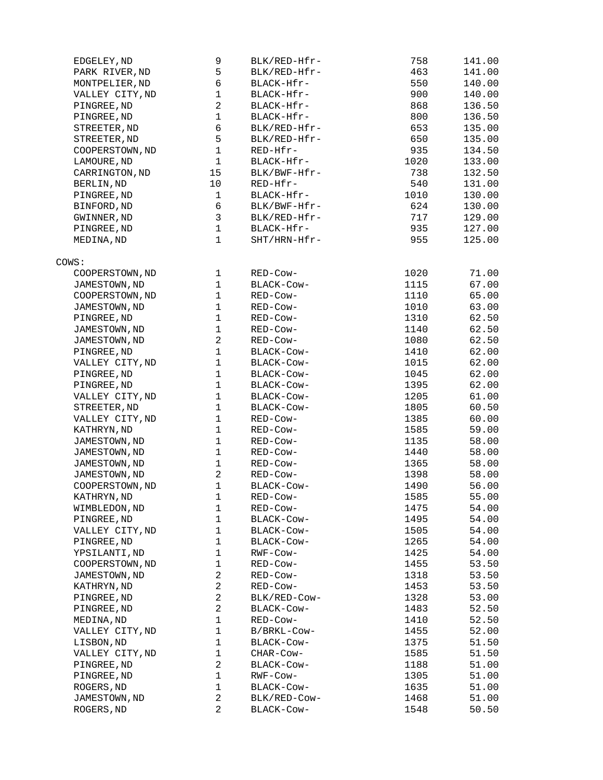| EDGELEY, ND     | 9              | BLK/RED-Hfr- | 758  | 141.00 |
|-----------------|----------------|--------------|------|--------|
| PARK RIVER, ND  | 5              | BLK/RED-Hfr- | 463  | 141.00 |
| MONTPELIER, ND  | 6              | BLACK-Hfr-   | 550  | 140.00 |
| VALLEY CITY, ND | $\mathbf 1$    | BLACK-Hfr-   | 900  | 140.00 |
| PINGREE, ND     | $\overline{2}$ | BLACK-Hfr-   | 868  | 136.50 |
| PINGREE, ND     | $\mathbf{1}$   | BLACK-Hfr-   | 800  | 136.50 |
| STREETER, ND    | 6              | BLK/RED-Hfr- | 653  | 135.00 |
| STREETER, ND    | 5              | BLK/RED-Hfr- | 650  | 135.00 |
| COOPERSTOWN, ND | $\mathbf{1}$   | RED-Hfr-     | 935  | 134.50 |
| LAMOURE, ND     | $\mathbf{1}$   | BLACK-Hfr-   | 1020 | 133.00 |
| CARRINGTON, ND  | 15             | BLK/BWF-Hfr- | 738  | 132.50 |
| BERLIN, ND      | 10             | RED-Hfr-     | 540  | 131.00 |
| PINGREE, ND     | $\mathbf{1}$   | BLACK-Hfr-   | 1010 | 130.00 |
| BINFORD, ND     | 6              | BLK/BWF-Hfr- | 624  | 130.00 |
| GWINNER, ND     | 3              | BLK/RED-Hfr- | 717  | 129.00 |
| PINGREE, ND     | $\mathbf{1}$   | BLACK-Hfr-   | 935  | 127.00 |
| MEDINA, ND      | $\mathbf{1}$   | SHT/HRN-Hfr- | 955  | 125.00 |
|                 |                |              |      |        |
| COWS:           |                |              |      |        |
| COOPERSTOWN, ND | $\mathbf{1}$   | RED-Cow-     | 1020 | 71.00  |
| JAMESTOWN, ND   | $\mathbf{1}$   | BLACK-COW-   | 1115 | 67.00  |
| COOPERSTOWN, ND | $\mathbf{1}$   | RED-Cow-     | 1110 | 65.00  |
| JAMESTOWN, ND   | $\mathbf{1}$   | RED-Cow-     | 1010 | 63.00  |
| PINGREE, ND     | $\mathbf{1}$   | RED-Cow-     | 1310 | 62.50  |
| JAMESTOWN, ND   | $\mathbf 1$    | RED-Cow-     | 1140 | 62.50  |
| JAMESTOWN, ND   | $\overline{c}$ | RED-Cow-     | 1080 | 62.50  |
| PINGREE, ND     | $\mathbf{1}$   | BLACK-COW-   | 1410 | 62.00  |
| VALLEY CITY, ND | $\mathbf{1}$   | BLACK-COW-   | 1015 | 62.00  |
| PINGREE, ND     | $\mathbf{1}$   | BLACK-COW-   | 1045 | 62.00  |
| PINGREE, ND     | $\mathbf{1}$   | BLACK-COW-   | 1395 | 62.00  |
| VALLEY CITY, ND | $\mathbf{1}$   | BLACK-COW-   | 1205 | 61.00  |
| STREETER, ND    | $\mathbf{1}$   | BLACK-COW-   | 1805 | 60.50  |
| VALLEY CITY, ND | $\mathbf{1}$   | RED-Cow-     | 1385 | 60.00  |
| KATHRYN, ND     | $\mathbf{1}$   | RED-Cow-     | 1585 | 59.00  |
| JAMESTOWN, ND   | $\mathbf{1}$   | RED-Cow-     | 1135 | 58.00  |
| JAMESTOWN, ND   | $\mathbf{1}$   | RED-Cow-     | 1440 | 58.00  |
| JAMESTOWN, ND   | $\mathbf 1$    | RED-Cow-     | 1365 | 58.00  |
| JAMESTOWN, ND   | $\overline{2}$ | RED-Cow-     | 1398 | 58.00  |
| COOPERSTOWN, ND | $\mathbf 1$    | BLACK-Cow-   | 1490 | 56.00  |
| KATHRYN, ND     | $\mathbf{1}$   | RED-COW-     | 1585 | 55.00  |
| WIMBLEDON, ND   | 1              | RED-Cow-     | 1475 | 54.00  |
| PINGREE, ND     | $\mathbf{1}$   | BLACK-COW-   | 1495 | 54.00  |
| VALLEY CITY, ND | $\mathbf{1}$   | BLACK-Cow-   | 1505 | 54.00  |
| PINGREE, ND     | $\mathbf{1}$   | BLACK-Cow-   | 1265 | 54.00  |
| YPSILANTI, ND   | $\mathbf{1}$   | RWF-Cow-     | 1425 | 54.00  |
| COOPERSTOWN, ND | $\mathbf 1$    |              | 1455 |        |
|                 | $\overline{c}$ | RED-Cow-     |      | 53.50  |
| JAMESTOWN, ND   |                | RED-Cow-     | 1318 | 53.50  |
| KATHRYN, ND     | $\overline{c}$ | RED-Cow-     | 1453 | 53.50  |
| PINGREE, ND     | $\overline{2}$ | BLK/RED-COW- | 1328 | 53.00  |
| PINGREE, ND     | $\overline{c}$ | BLACK-Cow-   | 1483 | 52.50  |
| MEDINA, ND      | 1              | RED-Cow-     | 1410 | 52.50  |
| VALLEY CITY, ND | $\mathbf 1$    | B/BRKL-Cow-  | 1455 | 52.00  |
| LISBON, ND      | $\mathbf{1}$   | BLACK-Cow-   | 1375 | 51.50  |
| VALLEY CITY, ND | $\mathbf{1}$   | CHAR-COW-    | 1585 | 51.50  |
| PINGREE, ND     | $\overline{c}$ | BLACK-COW-   | 1188 | 51.00  |
| PINGREE, ND     | $\mathbf{1}$   | RWF-COW-     | 1305 | 51.00  |
| ROGERS, ND      | $\mathbf 1$    | BLACK-COW-   | 1635 | 51.00  |
| JAMESTOWN, ND   | $\overline{2}$ | BLK/RED-Cow- | 1468 | 51.00  |
| ROGERS, ND      | $\overline{2}$ | BLACK-COW-   | 1548 | 50.50  |